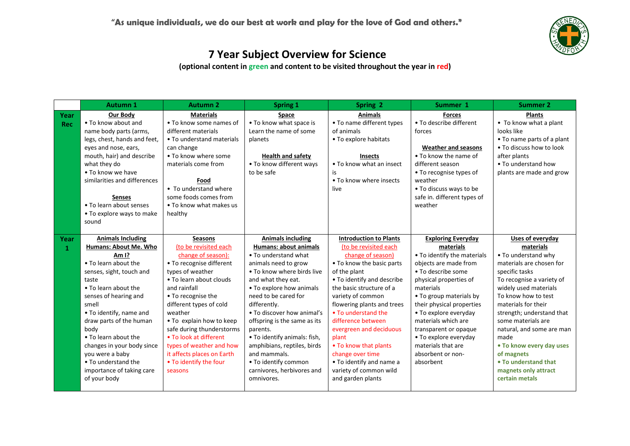

|            | Autumn 1                     | <b>Autumn 2</b>            | <b>Spring 1</b>              | Spring 2                      | Summer 1                    | <b>Summer 2</b>            |
|------------|------------------------------|----------------------------|------------------------------|-------------------------------|-----------------------------|----------------------------|
| Year       | Our Body                     | <b>Materials</b>           | Space                        | <b>Animals</b>                | <b>Forces</b>               | <b>Plants</b>              |
| <b>Rec</b> | • To know about and          | • To know some names of    | • To know what space is      | • To name different types     | • To describe different     | • To know what a plant     |
|            | name body parts (arms,       | different materials        | Learn the name of some       | of animals                    | forces                      | looks like                 |
|            | legs, chest, hands and feet, | • To understand materials  | planets                      | • To explore habitats         |                             | • To name parts of a plant |
|            | eyes and nose, ears,         | can change                 |                              |                               | <b>Weather and seasons</b>  | . To discuss how to look   |
|            | mouth, hair) and describe    | • To know where some       | <b>Health and safety</b>     | <b>Insects</b>                | • To know the name of       | after plants               |
|            | what they do                 | materials come from        | • To know different ways     | • To know what an insect      | different season            | • To understand how        |
|            | . To know we have            |                            | to be safe                   | is                            | • To recognise types of     | plants are made and grow   |
|            | similarities and differences | Food                       |                              | • To know where insects       | weather                     |                            |
|            |                              | • To understand where      |                              | live                          | • To discuss ways to be     |                            |
|            | Senses                       | some foods comes from      |                              |                               | safe in. different types of |                            |
|            | • To learn about senses      | • To know what makes us    |                              |                               | weather                     |                            |
|            | • To explore ways to make    | healthy                    |                              |                               |                             |                            |
|            | sound                        |                            |                              |                               |                             |                            |
|            |                              |                            |                              |                               |                             |                            |
| Year       | <b>Animals Including</b>     | <b>Seasons</b>             | <b>Animals including</b>     | <b>Introduction to Plants</b> | <b>Exploring Everyday</b>   | Uses of everyday           |
| 1          | Humans: About Me. Who        | (to be revisited each      | Humans: about animals        | (to be revisited each         | materials                   | materials                  |
|            | Am 1?                        | change of season):         | • To understand what         | change of season)             | • To identify the materials | • To understand why        |
|            | • To learn about the         | • To recognise different   | animals need to grow         | • To know the basic parts     | objects are made from       | materials are chosen for   |
|            | senses, sight, touch and     | types of weather           | . To know where birds live   | of the plant                  | • To describe some          | specific tasks             |
|            | taste                        | . To learn about clouds    | and what they eat.           | • To identify and describe    | physical properties of      | To recognise a variety of  |
|            | . To learn about the         | and rainfall               | • To explore how animals     | the basic structure of a      | materials                   | widely used materials      |
|            | senses of hearing and        | • To recognise the         | need to be cared for         | variety of common             | • To group materials by     | To know how to test        |
|            | smell                        | different types of cold    | differently.                 | flowering plants and trees    | their physical properties   | materials for their        |
|            | • To identify, name and      | weather                    | • To discover how animal's   | • To understand the           | • To explore everyday       | strength; understand that  |
|            | draw parts of the human      | . To explain how to keep   | offspring is the same as its | difference between            | materials which are         | some materials are         |
|            | body                         | safe during thunderstorms  | parents.                     | evergreen and deciduous       | transparent or opaque       | natural, and some are man  |
|            | • To learn about the         | . To look at different     | • To identify animals: fish, | plant                         | • To explore everyday       | made                       |
|            | changes in your body since   | types of weather and how   | amphibians, reptiles, birds  | • To know that plants         | materials that are          | . To know every day uses   |
|            | you were a baby              | it affects places on Earth | and mammals.                 | change over time              | absorbent or non-           | of magnets                 |
|            | • To understand the          | • To identify the four     | . To identify common         | • To identify and name a      | absorbent                   | . To understand that       |
|            | importance of taking care    | seasons                    | carnivores, herbivores and   | variety of common wild        |                             | magnets only attract       |
|            | of your body                 |                            | omnivores.                   | and garden plants             |                             | certain metals             |
|            |                              |                            |                              |                               |                             |                            |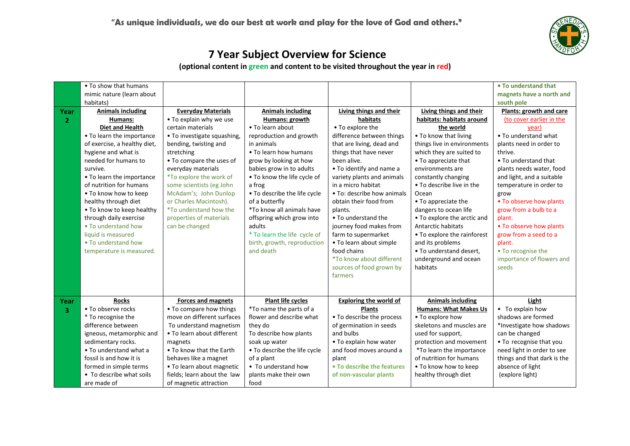

|                | • To show that humans        |                               |                              |                               |                              | • To understand that        |
|----------------|------------------------------|-------------------------------|------------------------------|-------------------------------|------------------------------|-----------------------------|
|                | mimic nature (learn about    |                               |                              |                               |                              | magnets have a north and    |
|                | habitats)                    |                               |                              |                               |                              | south pole                  |
| Year           | <b>Animals including</b>     | <b>Everyday Materials</b>     | <b>Animals including</b>     | Living things and their       | Living things and their      | Plants: growth and care     |
| $\mathbf{2}$   | Humans:                      | . To explain why we use       | Humans: growth               | habitats                      | habitats: habitats around    | (to cover earlier in the    |
|                | <b>Diet and Health</b>       | certain materials             | • To learn about             | • To explore the              | the world                    | vear)                       |
|                | • To learn the importance    | • To investigate squashing,   | reproduction and growth      | difference between things     | • To know that living        | • To understand what        |
|                | of exercise, a healthy diet, | bending, twisting and         | in animals                   | that are living, dead and     | things live in environments  | plants need in order to     |
|                | hygiene and what is          | stretching                    | . To learn how humans        | things that have never        | which they are suited to     | thrive.                     |
|                | needed for humans to         | • To compare the uses of      | grow by looking at how       | been alive.                   | • To appreciate that         | • To understand that        |
|                | survive.                     | everyday materials            | babies grow in to adults     | • To identify and name a      | environments are             | plants needs water, food    |
|                | • To learn the importance    | *To explore the work of       | . To know the life cycle of  | variety plants and animals    | constantly changing          | and light, and a suitable   |
|                | of nutrition for humans      | some scientists (eg John      | a frog                       | in a micro habitat            | • To describe live in the    | temperature in order to     |
|                | . To know how to keep        | McAdam's; John Dunlop         | • To describe the life cycle | • To: describe how animals    | Ocean                        | grow                        |
|                | healthy through diet         | or Charles Macintosh).        | of a butterfly               | obtain their food from        | • To appreciate the          | . To observe how plants     |
|                | . To know to keep healthy    | <i>*To understand how the</i> | *To know all animals have    | plants.                       | dangers to ocean life        | grow from a bulb to a       |
|                | through daily exercise       | properties of materials       | offspring which grow into    | • To understand the           | • To explore the arctic and  | plant.                      |
|                | . To understand how          | can be changed                | adults                       | journey food makes from       | Antarctic habitats           | . To observe how plants     |
|                | liquid is measured           |                               | * To learn the life cycle of | farm to supermarket           | • To explore the rainforest  | grow from a seed to a       |
|                | • To understand how          |                               | birth, growth, reproduction  | • To learn about simple       | and its problems             | plant.                      |
|                | temperature is measured.     |                               | and death                    | food chains                   | • To understand desert,      | • To recognise the          |
|                |                              |                               |                              | *To know about different      | underground and ocean        | importance of flowers and   |
|                |                              |                               |                              | sources of food grown by      | habitats                     | seeds                       |
|                |                              |                               |                              | farmers                       |                              |                             |
|                |                              |                               |                              |                               |                              |                             |
|                |                              |                               |                              |                               |                              |                             |
| Year           | <b>Rocks</b>                 | <b>Forces and magnets</b>     | <b>Plant life cycles</b>     | <b>Exploring the world of</b> | <b>Animals including</b>     | Light                       |
| $\overline{3}$ | • To observe rocks           | • To compare how things       | *To name the parts of a      | <b>Plants</b>                 | <b>Humans: What Makes Us</b> | • To explain how            |
|                | * To recognise the           | move on different surfaces    | flower and describe what     | • To describe the process     | • To explore how             | shadows are formed          |
|                | difference between           | To understand magnetism       | they do                      | of germination in seeds       | skeletons and muscles are    | *Investigate how shadows    |
|                | igneous, metamorphic and     | • To learn about different    | To describe how plants       | and bulbs                     | used for support,            | can be changed              |
|                | sedimentary rocks.           | magnets                       | soak up water                | • To explain how water        | protection and movement      | • To recognise that you     |
|                | • To understand what a       | • To know that the Earth      | • To describe the life cycle | and food moves around a       | *To learn the importance     | need light in order to see  |
|                | fossil is and how it is      | behaves like a magnet         | of a plant                   | plant                         | of nutrition for humans      | things and that dark is the |
|                | formed in simple terms       | • To learn about magnetic     | • To understand how          | • To describe the features    | . To know how to keep        | absence of light            |
|                | • To describe what soils     | fields; learn about the law   | plants make their own        | of non-vascular plants        | healthy through diet         | (explore light)             |
|                | are made of                  | of magnetic attraction        | food                         |                               |                              |                             |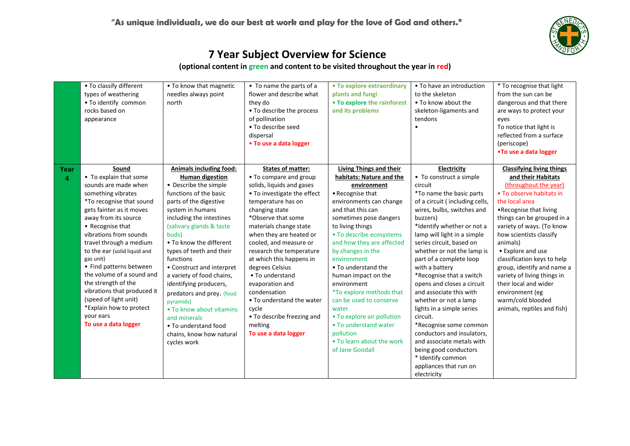

| Year | • To classify different<br>types of weathering<br>. To identify common<br>rocks based on<br>appearance<br>Sound                                                                                                                                                                                                                                                                                                   | • To know that magnetic<br>needles always point<br>north<br>Animals including food:                                                                                                                                                                                                                                                                                                        | • To name the parts of a<br>flower and describe what<br>they do<br>• To describe the process<br>of pollination<br>• To describe seed<br>dispersal<br>• To use a data logger<br><b>States of matter:</b>                                                                                                                                                                                       | • To explore extraordinary<br>plants and fungi<br>• To explore the rainforest<br>and its problems<br>Living Things and their                                                                                                                                                                                                                                                      | • To have an introduction<br>to the skeleton<br>• To know about the<br>skeleton-ligaments and<br>tendons<br>Electricity                                                                                                                                                                                                                                                                                                      | * To recognise that light<br>from the sun can be<br>dangerous and that there<br>are ways to protect your<br>eyes<br>To notice that light is<br>reflected from a surface<br>(periscope)<br>.To use a data logger<br><b>Classifying living things</b>                                                                                                                                                     |
|------|-------------------------------------------------------------------------------------------------------------------------------------------------------------------------------------------------------------------------------------------------------------------------------------------------------------------------------------------------------------------------------------------------------------------|--------------------------------------------------------------------------------------------------------------------------------------------------------------------------------------------------------------------------------------------------------------------------------------------------------------------------------------------------------------------------------------------|-----------------------------------------------------------------------------------------------------------------------------------------------------------------------------------------------------------------------------------------------------------------------------------------------------------------------------------------------------------------------------------------------|-----------------------------------------------------------------------------------------------------------------------------------------------------------------------------------------------------------------------------------------------------------------------------------------------------------------------------------------------------------------------------------|------------------------------------------------------------------------------------------------------------------------------------------------------------------------------------------------------------------------------------------------------------------------------------------------------------------------------------------------------------------------------------------------------------------------------|---------------------------------------------------------------------------------------------------------------------------------------------------------------------------------------------------------------------------------------------------------------------------------------------------------------------------------------------------------------------------------------------------------|
| 4    | • To explain that some<br>sounds are made when<br>something vibrates<br>*To recognise that sound<br>gets fainter as it moves<br>away from its source<br>• Recognise that<br>vibrations from sounds<br>travel through a medium<br>to the ear (solid liquid and<br>gas unit)<br>• Find patterns between<br>the volume of a sound and<br>the strength of the<br>vibrations that produced it<br>(speed of light unit) | <b>Human digestion</b><br>• Describe the simple<br>functions of the basic<br>parts of the digestive<br>system in humans<br>including the intestines<br>(salivary glands & taste<br>buds)<br>. To know the different<br>types of teeth and their<br>functions<br>• Construct and interpret<br>a variety of food chains,<br>identifying producers,<br>predators and prey. (food<br>pyramids) | • To compare and group<br>solids, liquids and gases<br>• To investigate the effect<br>temperature has on<br>changing state<br>*Observe that some<br>materials change state<br>when they are heated or<br>cooled, and measure or<br>research the temperature<br>at which this happens in<br>degrees Celsius<br>• To understand<br>evaporation and<br>condensation<br>• To understand the water | habitats: Nature and the<br>environment<br>• Recognise that<br>environments can change<br>and that this can<br>sometimes pose dangers<br>to living things<br>• To describe ecosystems<br>and how they are affected<br>by changes in the<br>environment<br>• To understand the<br>human impact on the<br>environment<br><i>*To explore methods that</i><br>can be used to conserve | • To construct a simple<br>circuit<br>*To name the basic parts<br>of a circuit (including cells,<br>wires, bulbs, switches and<br>buzzers)<br>*Identify whether or not a<br>lamp will light in a simple<br>series circuit, based on<br>whether or not the lamp is<br>part of a complete loop<br>with a battery<br>*Recognise that a switch<br>opens and closes a circuit<br>and associate this with<br>whether or not a lamp | and their Habitats<br>(throughout the year)<br>• To observe habitats in<br>the local area<br>.Recognise that living<br>things can be grouped in a<br>variety of ways. (To know<br>how scientists classify<br>animals)<br>• Explore and use<br>classification keys to help<br>group, identify and name a<br>variety of living things in<br>their local and wider<br>environment (eg<br>warm/cold blooded |
|      | *Explain how to protect<br>vour ears<br>To use a data logger                                                                                                                                                                                                                                                                                                                                                      | • To know about vitamins<br>and minerals<br>• To understand food<br>chains, know how natural<br>cycles work                                                                                                                                                                                                                                                                                | cycle<br>• To describe freezing and<br>melting<br>To use a data logger                                                                                                                                                                                                                                                                                                                        | water<br>• To explore air pollution<br>• To understand water<br>pollution<br>. To learn about the work<br>of Jane Goodall                                                                                                                                                                                                                                                         | lights in a simple series<br>circuit.<br>*Recognise some common<br>conductors and insulators.<br>and associate metals with<br>being good conductors<br>* Identify common<br>appliances that run on<br>electricity                                                                                                                                                                                                            | animals, reptiles and fish)                                                                                                                                                                                                                                                                                                                                                                             |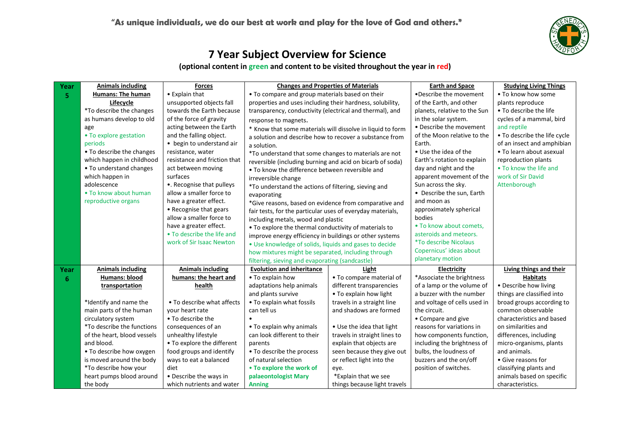

| Year | <b>Animals including</b>        | <b>Forces</b>                |                                                            | <b>Changes and Properties of Materials</b> | <b>Earth and Space</b>       | <b>Studying Living Things</b> |
|------|---------------------------------|------------------------------|------------------------------------------------------------|--------------------------------------------|------------------------------|-------------------------------|
| 5    | Humans: The human               | • Explain that               | • To compare and group materials based on their            |                                            | •Describe the movement       | • To know how some            |
|      | Lifecycle                       | unsupported objects fall     | properties and uses including their hardness, solubility,  |                                            | of the Earth, and other      | plants reproduce              |
|      | <i>*To describe the changes</i> | towards the Earth because    | transparency, conductivity (electrical and thermal), and   |                                            | planets, relative to the Sun | • To describe the life        |
|      | as humans develop to old        | of the force of gravity      | response to magnets.                                       |                                            | in the solar system.         | cycles of a mammal, bird      |
|      | age                             | acting between the Earth     | * Know that some materials will dissolve in liquid to form |                                            | • Describe the movement      | and reptile                   |
|      | • To explore gestation          | and the falling object.      | a solution and describe how to recover a substance from    |                                            | of the Moon relative to the  | • To describe the life cycle  |
|      | periods                         | • begin to understand air    | a solution.                                                |                                            | Earth.                       | of an insect and amphibian    |
|      | • To describe the changes       | resistance, water            | *To understand that some changes to materials are not      |                                            | • Use the idea of the        | • To learn about asexual      |
|      | which happen in childhood       | resistance and friction that | reversible (including burning and acid on bicarb of soda)  |                                            | Earth's rotation to explain  | reproduction plants           |
|      | • To understand changes         | act between moving           | • To know the difference between reversible and            |                                            | day and night and the        | • To know the life and        |
|      | which happen in                 | surfaces                     | irreversible change                                        |                                            | apparent movement of the     | work of Sir David             |
|      | adolescence                     | •. Recognise that pulleys    | *To understand the actions of filtering, sieving and       |                                            | Sun across the sky.          | Attenborough                  |
|      | • To know about human           | allow a smaller force to     | evaporating                                                |                                            | • Describe the sun, Earth    |                               |
|      | reproductive organs             | have a greater effect.       | *Give reasons, based on evidence from comparative and      |                                            | and moon as                  |                               |
|      |                                 | • Recognise that gears       | fair tests, for the particular uses of everyday materials, |                                            | approximately spherical      |                               |
|      |                                 | allow a smaller force to     | including metals, wood and plastic                         |                                            | bodies                       |                               |
|      |                                 | have a greater effect.       | • To explore the thermal conductivity of materials to      |                                            | • To know about comets.      |                               |
|      |                                 | • To describe the life and   | improve energy efficiency in buildings or other systems    |                                            | asteroids and meteors.       |                               |
|      |                                 | work of Sir Isaac Newton     | • Use knowledge of solids, liquids and gases to decide     |                                            | <i>*To describe Nicolaus</i> |                               |
|      |                                 |                              | how mixtures might be separated, including through         |                                            | Copernicus' ideas about      |                               |
|      |                                 |                              | filtering, sieving and evaporating (sandcastle)            |                                            | planetary motion             |                               |
| Year | <b>Animals including</b>        | <b>Animals including</b>     | <b>Evolution and inheritance</b>                           | Light                                      | Electricity                  | Living things and their       |
| 6    | Humans: blood                   | humans: the heart and        | • To explain how                                           | • To compare material of                   | *Associate the brightness    | <b>Habitats</b>               |
|      | transportation                  | health                       | adaptations help animals                                   | different transparencies                   | of a lamp or the volume of   | • Describe how living         |
|      |                                 |                              | and plants survive                                         | . To explain how light                     | a buzzer with the number     | things are classified into    |
|      | *Identify and name the          | • To describe what affects   | • To explain what fossils                                  | travels in a straight line                 | and voltage of cells used in | broad groups according to     |
|      | main parts of the human         | your heart rate              | can tell us                                                | and shadows are formed                     | the circuit.                 | common observable             |
|      | circulatory system              | • To describe the            |                                                            |                                            | • Compare and give           | characteristics and based     |
|      | *To describe the functions      | consequences of an           | • To explain why animals                                   | • Use the idea that light                  | reasons for variations in    | on similarities and           |
|      | of the heart, blood vessels     | unhealthy lifestyle          | can look different to their                                | travels in straight lines to               | how components function,     | differences, including        |
|      | and blood.                      | • To explore the different   | parents                                                    | explain that objects are                   | including the brightness of  | micro-organisms, plants       |
|      | • To describe how oxygen        | food groups and identify     | • To describe the process                                  | seen because they give out                 | bulbs, the loudness of       | and animals.                  |
|      | is moved around the body        | ways to eat a balanced       | of natural selection                                       | or reflect light into the                  | buzzers and the on/off       | • Give reasons for            |
|      | *To describe how your           | diet                         | • To explore the work of                                   | eye.                                       | position of switches.        | classifying plants and        |
|      | heart pumps blood around        | • Describe the ways in       | palaeontologist Mary                                       | *Explain that we see                       |                              | animals based on specific     |
|      | the body                        | which nutrients and water    | <b>Anning</b>                                              | things because light travels               |                              | characteristics.              |